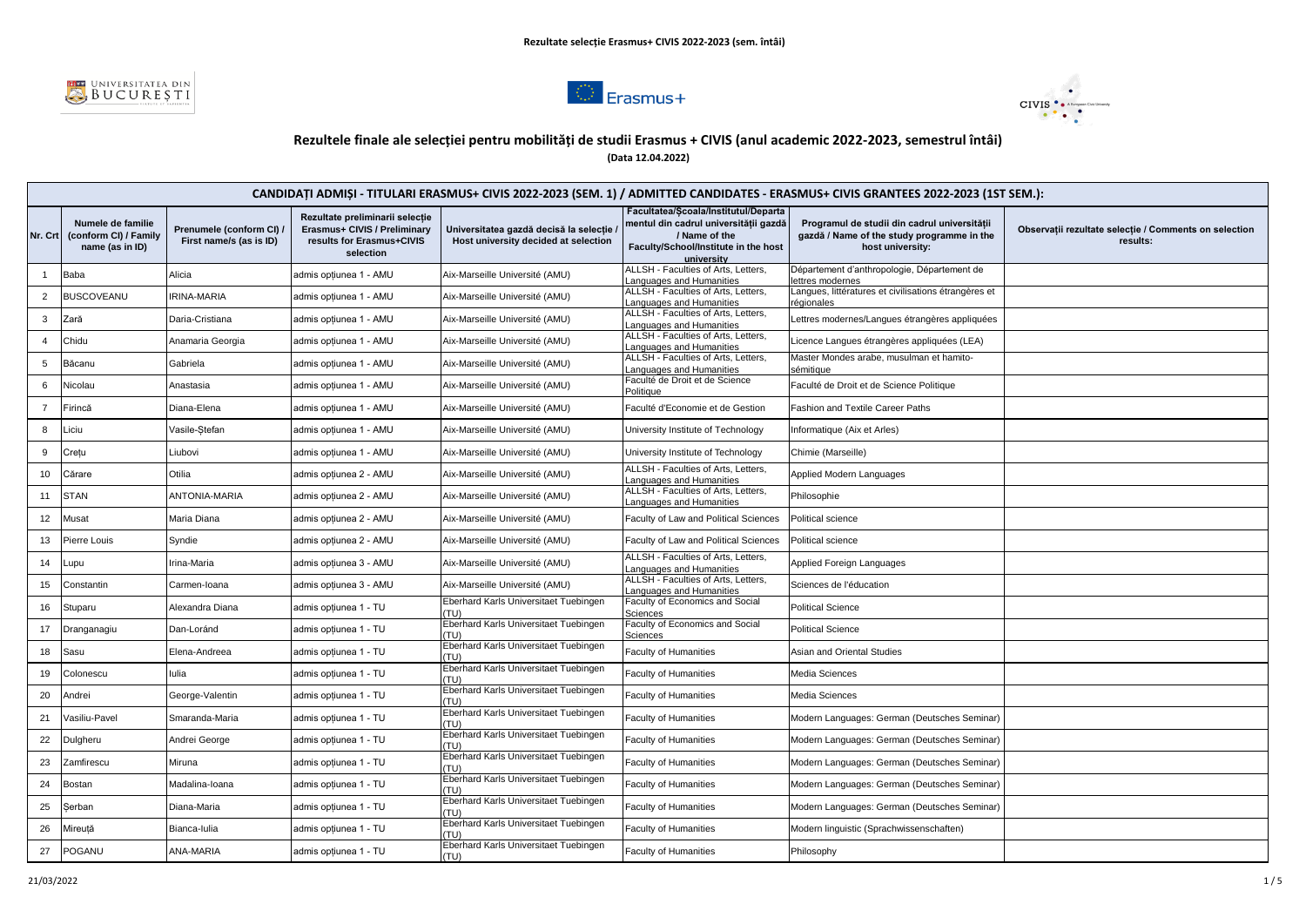





# **Rezultele finale ale selecției pentru mobilități de studii Erasmus + CIVIS (anul academic 2022-2023, semestrul întâi) (Data 12.04.2022)**

|                | CANDIDAȚI ADMIȘI - TITULARI ERASMUS+ CIVIS 2022-2023 (SEM. 1) / ADMITTED CANDIDATES - ERASMUS+ CIVIS GRANTEES 2022-2023 (1ST SEM.): |                                                     |                                                                                                           |                                                                                  |                                                                                                                                                      |                                                                                                                |                                                                   |
|----------------|-------------------------------------------------------------------------------------------------------------------------------------|-----------------------------------------------------|-----------------------------------------------------------------------------------------------------------|----------------------------------------------------------------------------------|------------------------------------------------------------------------------------------------------------------------------------------------------|----------------------------------------------------------------------------------------------------------------|-------------------------------------------------------------------|
|                | Numele de familie<br>Nr. Crt (conform CI) / Family<br>name (as in ID)                                                               | Prenumele (conform CI) /<br>First name/s (as is ID) | Rezultate preliminarii selecție<br>Erasmus+ CIVIS / Preliminary<br>results for Erasmus+CIVIS<br>selection | Universitatea gazdă decisă la selectie /<br>Host university decided at selection | Facultatea/Scoala/Institutul/Departa<br>mentul din cadrul universitătii gazdă<br>/ Name of the<br>Faculty/School/Institute in the host<br>university | Programul de studii din cadrul universitătii<br>gazdă / Name of the study programme in the<br>host university: | Observații rezultate selecție / Comments on selection<br>results: |
| $\mathbf{1}$   | Baba                                                                                                                                | Alicia                                              | admis opțiunea 1 - AMU                                                                                    | Aix-Marseille Université (AMU)                                                   | ALLSH - Faculties of Arts, Letters,<br>anguages and Humanities                                                                                       | Département d'anthropologie, Département de<br>ettres modernes                                                 |                                                                   |
| $\overline{2}$ | <b>BUSCOVEANU</b>                                                                                                                   | RINA-MARIA                                          | admis optiunea 1 - AMU                                                                                    | Aix-Marseille Université (AMU)                                                   | ALLSH - Faculties of Arts, Letters,<br>anguages and Humanities                                                                                       | Langues, littératures et civilisations étrangères et<br>éqionales                                              |                                                                   |
| 3              | Zară                                                                                                                                | Daria-Cristiana                                     | admis optiunea 1 - AMU                                                                                    | Aix-Marseille Université (AMU)                                                   | ALLSH - Faculties of Arts, Letters,<br>anguages and Humanities                                                                                       | ettres modernes/Langues étrangères appliquées                                                                  |                                                                   |
| $\overline{4}$ | Chidu                                                                                                                               | Anamaria Georgia                                    | admis opțiunea 1 - AMU                                                                                    | Aix-Marseille Université (AMU)                                                   | ALLSH - Faculties of Arts, Letters,<br>anguages and Humanities                                                                                       | Licence Langues étrangères appliquées (LEA)                                                                    |                                                                   |
| 5              | Băcanu                                                                                                                              | Gabriela                                            | admis optiunea 1 - AMU                                                                                    | Aix-Marseille Université (AMU)                                                   | ALLSH - Faculties of Arts, Letters,<br>anguages and Humanities                                                                                       | Master Mondes arabe, musulman et hamito-<br>sémitique                                                          |                                                                   |
| 6              | Nicolau                                                                                                                             | Anastasia                                           | admis optiunea 1 - AMU                                                                                    | Aix-Marseille Université (AMU)                                                   | Faculté de Droit et de Science<br>Politique                                                                                                          | Faculté de Droit et de Science Politique                                                                       |                                                                   |
| $\overline{7}$ | Firincă                                                                                                                             | Diana-Elena                                         | admis opțiunea 1 - AMU                                                                                    | Aix-Marseille Université (AMU)                                                   | Faculté d'Economie et de Gestion                                                                                                                     | Fashion and Textile Career Paths                                                                               |                                                                   |
| 8              | Liciu                                                                                                                               | Vasile-Stefan                                       | admis opțiunea 1 - AMU                                                                                    | Aix-Marseille Université (AMU)                                                   | University Institute of Technology                                                                                                                   | nformatique (Aix et Arles)                                                                                     |                                                                   |
| 9              | Cretu                                                                                                                               | Liubovi                                             | admis optiunea 1 - AMU                                                                                    | Aix-Marseille Université (AMU)                                                   | University Institute of Technology                                                                                                                   | Chimie (Marseille)                                                                                             |                                                                   |
| 10             | Cărare                                                                                                                              | Otilia                                              | admis optiunea 2 - AMU                                                                                    | Aix-Marseille Université (AMU)                                                   | ALLSH - Faculties of Arts, Letters,<br>anguages and Humanities                                                                                       | Applied Modern Languages                                                                                       |                                                                   |
| 11             | <b>STAN</b>                                                                                                                         | <b>ANTONIA-MARIA</b>                                | admis optiunea 2 - AMU                                                                                    | Aix-Marseille Université (AMU)                                                   | ALLSH - Faculties of Arts, Letters,<br>anguages and Humanities                                                                                       | Philosophie                                                                                                    |                                                                   |
| 12             | Musat                                                                                                                               | Maria Diana                                         | admis opțiunea 2 - AMU                                                                                    | Aix-Marseille Université (AMU)                                                   | Faculty of Law and Political Sciences                                                                                                                | Political science                                                                                              |                                                                   |
| 13             | Pierre Louis                                                                                                                        | Syndie                                              | admis opțiunea 2 - AMU                                                                                    | Aix-Marseille Université (AMU)                                                   | Faculty of Law and Political Sciences                                                                                                                | Political science                                                                                              |                                                                   |
| 14             | upu-                                                                                                                                | rina-Maria                                          | admis opțiunea 3 - AMU                                                                                    | Aix-Marseille Université (AMU)                                                   | <b>ALLSH - Faculties of Arts, Letters,</b><br>anguages and Humanities                                                                                | Applied Foreign Languages                                                                                      |                                                                   |
| 15             | Constantin                                                                                                                          | Carmen-Ioana                                        | admis opțiunea 3 - AMU                                                                                    | Aix-Marseille Université (AMU)                                                   | ALLSH - Faculties of Arts, Letters,<br>anguages and Humanities                                                                                       | Sciences de l'éducation                                                                                        |                                                                   |
| 16             | Stuparu                                                                                                                             | Alexandra Diana                                     | admis optiunea 1 - TU                                                                                     | Eberhard Karls Universitaet Tuebingen<br>(TU)                                    | Faculty of Economics and Social<br>Sciences                                                                                                          | <b>Political Science</b>                                                                                       |                                                                   |
| 17             | Dranganagiu                                                                                                                         | Dan-Loránd                                          | admis optiunea 1 - TU                                                                                     | Eberhard Karls Universitaet Tuebingen<br>(TU)                                    | Faculty of Economics and Social<br>Sciences                                                                                                          | <b>Political Science</b>                                                                                       |                                                                   |
| 18             | Sasu                                                                                                                                | Elena-Andreea                                       | admis opțiunea 1 - TU                                                                                     | Eberhard Karls Universitaet Tuebingen<br>TU)                                     | <b>Faculty of Humanities</b>                                                                                                                         | Asian and Oriental Studies                                                                                     |                                                                   |
| 19             | Colonescu                                                                                                                           | lulia                                               | admis opțiunea 1 - TU                                                                                     | Eberhard Karls Universitaet Tuebingen<br>(TU)                                    | Faculty of Humanities                                                                                                                                | Media Sciences                                                                                                 |                                                                   |
| 20             | Andrei                                                                                                                              | George-Valentin                                     | admis opțiunea 1 - TU                                                                                     | Eberhard Karls Universitaet Tuebingen<br>TU)                                     | Faculty of Humanities                                                                                                                                | Media Sciences                                                                                                 |                                                                   |
| 21             | /asiliu-Pavel                                                                                                                       | Smaranda-Maria                                      | admis opțiunea 1 - TU                                                                                     | Eberhard Karls Universitaet Tuebingen<br>'TU)                                    | <b>Faculty of Humanities</b>                                                                                                                         | Modern Languages: German (Deutsches Seminar)                                                                   |                                                                   |
| 22             | Dulgheru                                                                                                                            | Andrei George                                       | admis opțiunea 1 - TU                                                                                     | Eberhard Karls Universitaet Tuebingen<br>'TU)                                    | Faculty of Humanities                                                                                                                                | Modern Languages: German (Deutsches Seminar)                                                                   |                                                                   |
| 23             | Zamfirescu                                                                                                                          | Miruna                                              | admis optiunea 1 - TU                                                                                     | Eberhard Karls Universitaet Tuebingen<br>TU)                                     | <b>Faculty of Humanities</b>                                                                                                                         | Modern Languages: German (Deutsches Seminar)                                                                   |                                                                   |
| 24             | Bostan                                                                                                                              | Madalina-loana                                      | admis optiunea 1 - TU                                                                                     | Eberhard Karls Universitaet Tuebingen<br>TU)                                     | <b>Faculty of Humanities</b>                                                                                                                         | Modern Languages: German (Deutsches Seminar)                                                                   |                                                                   |
| 25             | Serban                                                                                                                              | Diana-Maria                                         | admis opțiunea 1 - TU                                                                                     | Eberhard Karls Universitaet Tuebingen<br>TU)                                     | <b>Faculty of Humanities</b>                                                                                                                         | Modern Languages: German (Deutsches Seminar)                                                                   |                                                                   |
| 26             | Mireuță                                                                                                                             | Bianca-Iulia                                        | admis opțiunea 1 - TU                                                                                     | Eberhard Karls Universitaet Tuebingen<br>(TU)                                    | Faculty of Humanities                                                                                                                                | Modern linguistic (Sprachwissenschaften)                                                                       |                                                                   |
| 27             | POGANU                                                                                                                              | ANA-MARIA                                           | admis optiunea 1 - TU                                                                                     | Eberhard Karls Universitaet Tuebingen<br>(TU)                                    | <b>Faculty of Humanities</b>                                                                                                                         | Philosophy                                                                                                     |                                                                   |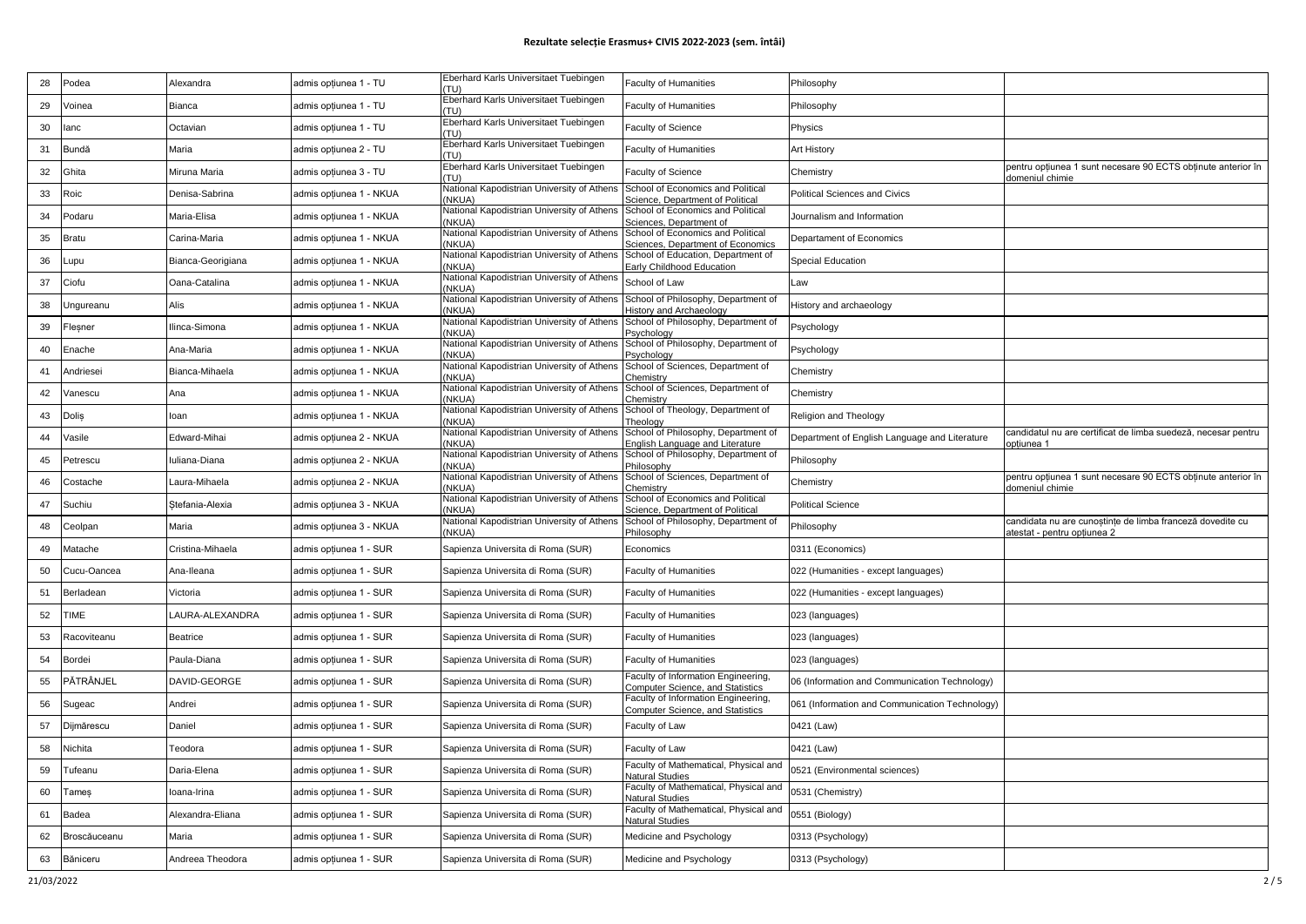| 28 | Podea            | Alexandra         | admis opțiunea 1 - TU   | Eberhard Karls Universitaet Tuebingen<br>(TU)        | <b>Faculty of Humanities</b>                                                   | Philosophy                                     |                                                                                 |
|----|------------------|-------------------|-------------------------|------------------------------------------------------|--------------------------------------------------------------------------------|------------------------------------------------|---------------------------------------------------------------------------------|
| 29 | Voinea           | Bianca            | admis opțiunea 1 - TU   | Eberhard Karls Universitaet Tuebingen<br>(T  )       | <b>Faculty of Humanities</b>                                                   | Philosophy                                     |                                                                                 |
| 30 | lanc             | Octavian          | admis opțiunea 1 - TU   | Eberhard Karls Universitaet Tuebingen<br>(TU)        | Faculty of Science                                                             | Physics                                        |                                                                                 |
| 31 | Bundă            | Maria             | admis opțiunea 2 - TU   | Eberhard Karls Universitaet Tuebingen<br>(TU)        | <b>Faculty of Humanities</b>                                                   | Art History                                    |                                                                                 |
| 32 | Ghita            | Miruna Maria      | admis opțiunea 3 - TU   | Eberhard Karls Universitaet Tuebingen<br>(T  )       | Faculty of Science                                                             | Chemistry                                      | pentru optiunea 1 sunt necesare 90 ECTS obtinute anterior în<br>domeniul chimie |
| 33 | Roic             | Denisa-Sabrina    | admis opțiunea 1 - NKUA | National Kapodistrian University of Athens<br>(NKUA) | School of Economics and Political<br>Science, Department of Political          | Political Sciences and Civics                  |                                                                                 |
| 34 | Podaru           | Maria-Elisa       | admis opțiunea 1 - NKUA | National Kapodistrian University of Athens<br>(NKUA) | School of Economics and Political<br>ciences, Department of                    | Journalism and Information                     |                                                                                 |
| 35 | Bratu            | Carina-Maria      | admis opțiunea 1 - NKUA | National Kapodistrian University of Athens<br>NKUA)  | School of Economics and Political<br>Sciences, Department of Economics         | Departament of Economics                       |                                                                                 |
| 36 | _upu             | Bianca-Georigiana | admis opțiunea 1 - NKUA | National Kapodistrian University of Athens<br>NKUA)  | School of Education, Department of<br>Early Childhood Education                | <b>Special Education</b>                       |                                                                                 |
| 37 | Ciofu            | Oana-Catalina     | admis opțiunea 1 - NKUA | National Kapodistrian University of Athens<br>(NKUA) | School of Law                                                                  | Law                                            |                                                                                 |
| 38 | Jngureanu        | Alis              | admis opțiunea 1 - NKUA | National Kapodistrian University of Athens<br>NKUA)  | School of Philosophy, Department of<br>listory and Archaeology                 | History and archaeology                        |                                                                                 |
| 39 | Flesner          | Ilinca-Simona     | admis opțiunea 1 - NKUA | National Kapodistrian University of Athens<br>(NKUA) | School of Philosophy, Department of<br>Psychology                              | Psychology                                     |                                                                                 |
| 40 | Enache           | Ana-Maria         | admis opțiunea 1 - NKUA | National Kapodistrian University of Athens<br>'NKUA) | School of Philosophy, Department of<br>sycholog                                | Psychology                                     |                                                                                 |
| 41 | Andriesei        | Bianca-Mihaela    | admis opțiunea 1 - NKUA | National Kapodistrian University of Athens<br>NKUA)  | School of Sciences, Department of<br>hemistry                                  | Chemistry                                      |                                                                                 |
| 42 | Vanescu          | Ana               | admis opțiunea 1 - NKUA | National Kapodistrian University of Athens<br>NKUA)  | School of Sciences, Department of<br>hemistry:                                 | Chemistry                                      |                                                                                 |
| 43 | Dolis            | loan              | admis opțiunea 1 - NKUA | National Kapodistrian University of Athens<br>(NKUA) | School of Theology, Department of<br>`heolog\                                  | Religion and Theology                          |                                                                                 |
| 44 | Vasile           | Edward-Mihai      | admis opțiunea 2 - NKUA | National Kapodistrian University of Athens<br>(NKUA) | School of Philosophy, Department of<br>nglish Language and Literature          | Department of English Language and Literature  | candidatul nu are certificat de limba suedeză, necesar pentru<br>pptiunea 1     |
| 45 | Petrescu         | Iuliana-Diana     | admis opțiunea 2 - NKUA | National Kapodistrian University of Athens<br>(NKUA) | School of Philosophy, Department of                                            | Philosophy                                     |                                                                                 |
|    |                  |                   |                         |                                                      |                                                                                |                                                |                                                                                 |
| 46 | Costache         | Laura-Mihaela     | admis opțiunea 2 - NKUA | National Kapodistrian University of Athens           | hilosophy<br>School of Sciences, Department of                                 | Chemistry                                      | pentru optiunea 1 sunt necesare 90 ECTS obtinute anterior în                    |
| 47 | Suchiu           | Stefania-Alexia   | admis opțiunea 3 - NKUA | (NKUA)<br>National Kapodistrian University of Athens | Chemistry<br>School of Economics and Political                                 | <b>Political Science</b>                       | domeniul chimie                                                                 |
| 48 | Ceolpan          | Maria             | admis opțiunea 3 - NKUA | (NKUA)<br>National Kapodistrian University of Athens | <b>Science, Department of Political</b><br>School of Philosophy, Department of | Philosophy                                     | candidata nu are cunoștințe de limba franceză dovedite cu                       |
| 49 | Matache          | Cristina-Mihaela  | admis opțiunea 1 - SUR  | (NKUA)<br>Sapienza Universita di Roma (SUR)          | Philosophy<br>Economics                                                        | 0311 (Economics)                               | atestat - pentru opțiunea 2                                                     |
| 50 | Cucu-Oancea      | Ana-Ileana        | admis opțiunea 1 - SUR  | Sapienza Universita di Roma (SUR)                    | <b>Faculty of Humanities</b>                                                   | 022 (Humanities - except languages)            |                                                                                 |
| 51 | Berladean        | Victoria          | admis opțiunea 1 - SUR  | Sapienza Universita di Roma (SUR)                    | <b>Faculty of Humanities</b>                                                   | 022 (Humanities - except languages)            |                                                                                 |
| 52 | <b>TIME</b>      | LAURA-ALEXANDRA   | admis opțiunea 1 - SUR  | Sapienza Universita di Roma (SUR)                    | <b>Faculty of Humanities</b>                                                   | 023 (languages)                                |                                                                                 |
| 53 | Racoviteanu      | Beatrice          | admis opțiunea 1 - SUR  | Sapienza Universita di Roma (SUR)                    | <b>Faculty of Humanities</b>                                                   | 023 (languages)                                |                                                                                 |
| 54 | Bordei           | Paula-Diana       | admis opțiunea 1 - SUR  | Sapienza Universita di Roma (SUR)                    | <b>Faculty of Humanities</b>                                                   | 023 (languages)                                |                                                                                 |
| 55 | <b>PĂTRÂNJEL</b> | DAVID-GEORGE      | admis opțiunea 1 - SUR  | Sapienza Universita di Roma (SUR)                    | aculty of Information Engineering,                                             | 06 (Information and Communication Technology)  |                                                                                 |
| 56 | Sugeac           | Andrei            | admis opțiunea 1 - SUR  | Sapienza Universita di Roma (SUR)                    | omputer Science, and Statistics<br>aculty of Information Engineering,          | 061 (Information and Communication Technology) |                                                                                 |
| 57 | Dijmărescu       | Daniel            | admis opțiunea 1 - SUR  | Sapienza Universita di Roma (SUR)                    | <b>Computer Science, and Statistics</b><br>Faculty of Law                      | 0421 (Law)                                     |                                                                                 |
| 58 | Nichita          | Teodora           | admis opțiunea 1 - SUR  | Sapienza Universita di Roma (SUR)                    | Faculty of Law                                                                 | 0421 (Law)                                     |                                                                                 |
| 59 | Tufeanu          | Daria-Elena       | admis opțiunea 1 - SUR  | Sapienza Universita di Roma (SUR)                    | Faculty of Mathematical, Physical and<br>Natural Studies                       | 0521 (Environmental sciences)                  |                                                                                 |
| 60 | Tameş            | Ioana-Irina       | admis opțiunea 1 - SUR  | Sapienza Universita di Roma (SUR)                    | aculty of Mathematical, Physical and<br><b>Vatural Studies</b>                 | 0531 (Chemistry)                               |                                                                                 |
| 61 | Badea            | Alexandra-Eliana  | admis opțiunea 1 - SUR  | Sapienza Universita di Roma (SUR)                    | Faculty of Mathematical, Physical and<br><b>Vatural Studies</b>                | 0551 (Biology)                                 |                                                                                 |
| 62 | Broscăuceanu     | Maria             | admis opțiunea 1 - SUR  | Sapienza Universita di Roma (SUR)                    | Medicine and Psychology                                                        | 0313 (Psychology)                              |                                                                                 |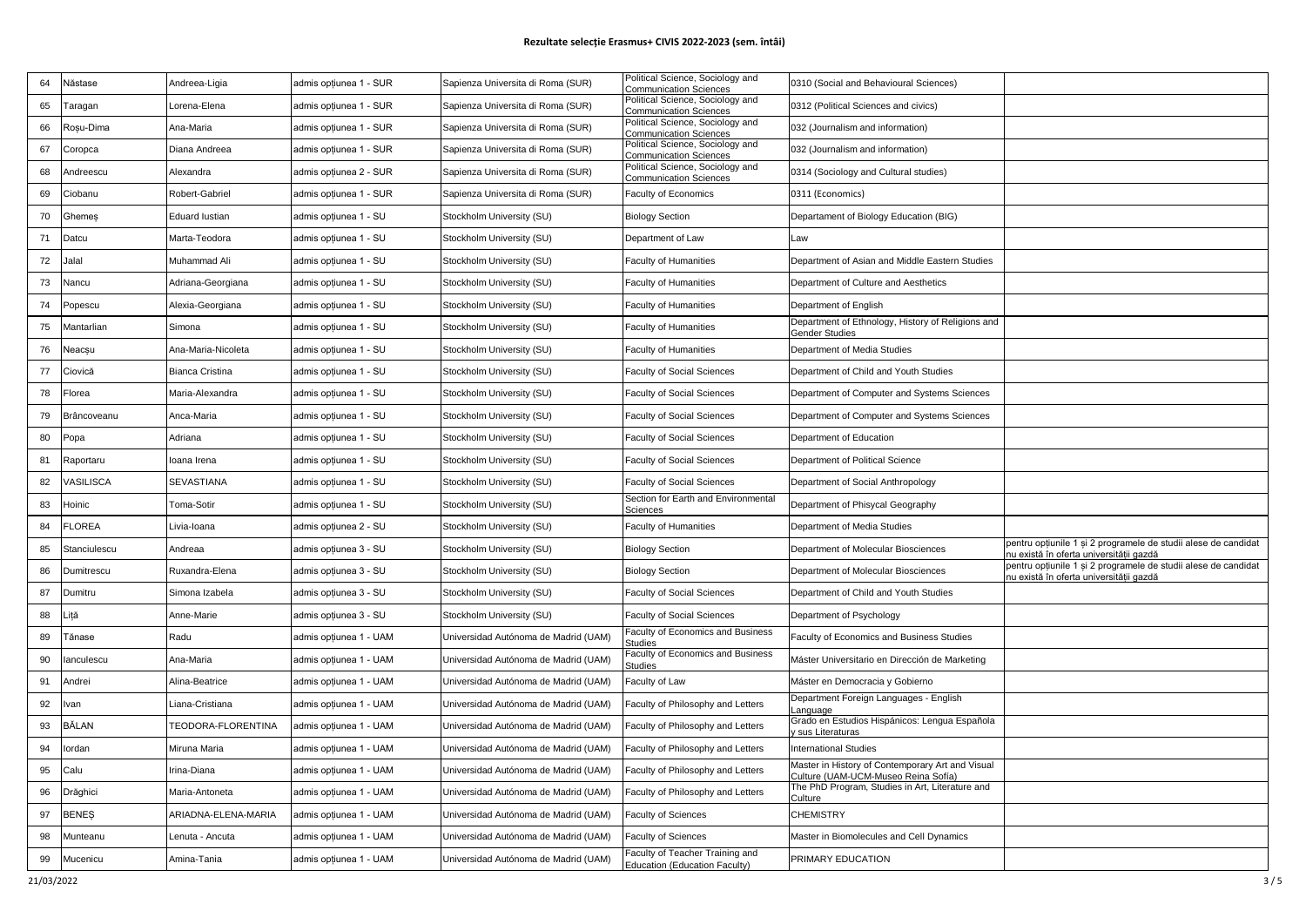| 64 | Năstase       | Andreea-Ligia          | admis opțiunea 1 - SUR | Sapienza Universita di Roma (SUR)    | Political Science, Sociology and<br><b>Communication Sciences</b> | 0310 (Social and Behavioural Sciences)                                                  |                                                                                                           |
|----|---------------|------------------------|------------------------|--------------------------------------|-------------------------------------------------------------------|-----------------------------------------------------------------------------------------|-----------------------------------------------------------------------------------------------------------|
| 65 | Taragan       | Lorena-Elena           | admis opțiunea 1 - SUR | Sapienza Universita di Roma (SUR)    | Political Science, Sociology and<br><b>Communication Sciences</b> | 0312 (Political Sciences and civics)                                                    |                                                                                                           |
| 66 | Roșu-Dima     | Ana-Maria              | admis opțiunea 1 - SUR | Sapienza Universita di Roma (SUR)    | Political Science, Sociology and<br>Communication Sciences        | 032 (Journalism and information)                                                        |                                                                                                           |
| 67 | Coropca       | Diana Andreea          | admis opțiunea 1 - SUR | Sapienza Universita di Roma (SUR)    | Political Science, Sociology and<br><b>Communication Sciences</b> | 032 (Journalism and information)                                                        |                                                                                                           |
| 68 | Andreescu     | Alexandra              | admis opțiunea 2 - SUR | Sapienza Universita di Roma (SUR)    | Political Science, Sociology and<br><b>Communication Sciences</b> | 0314 (Sociology and Cultural studies)                                                   |                                                                                                           |
| 69 | Ciobanu       | Robert-Gabriel         | admis opțiunea 1 - SUR | Sapienza Universita di Roma (SUR)    | Faculty of Economics                                              | 0311 (Economics)                                                                        |                                                                                                           |
| 70 | Ghemes        | <b>Eduard lustian</b>  | admis opțiunea 1 - SU  | Stockholm University (SU)            | <b>Biology Section</b>                                            | Departament of Biology Education (BIG)                                                  |                                                                                                           |
| 71 | Datcu         | Marta-Teodora          | admis opțiunea 1 - SU  | Stockholm University (SU)            | Department of Law                                                 | Law                                                                                     |                                                                                                           |
| 72 | Jalal         | Muhammad Ali           | admis opțiunea 1 - SU  | Stockholm University (SU)            | <b>Faculty of Humanities</b>                                      | Department of Asian and Middle Eastern Studies                                          |                                                                                                           |
| 73 | Nancu         | Adriana-Georgiana      | admis opțiunea 1 - SU  | Stockholm University (SU)            | <b>Faculty of Humanities</b>                                      | Department of Culture and Aesthetics                                                    |                                                                                                           |
| 74 | Popescu       | Alexia-Georgiana       | admis opțiunea 1 - SU  | Stockholm University (SU)            | <b>Faculty of Humanities</b>                                      | Department of English                                                                   |                                                                                                           |
| 75 | Mantarlian    | Simona                 | admis opțiunea 1 - SU  | Stockholm University (SU)            | <b>Faculty of Humanities</b>                                      | Department of Ethnology, History of Religions and<br>Gender Studies                     |                                                                                                           |
| 76 | Neacșu        | Ana-Maria-Nicoleta     | admis opțiunea 1 - SU  | Stockholm University (SU)            | <b>Faculty of Humanities</b>                                      | Department of Media Studies                                                             |                                                                                                           |
| 77 | Ciovică       | <b>Bianca Cristina</b> | admis opțiunea 1 - SU  | Stockholm University (SU)            | <b>Faculty of Social Sciences</b>                                 | Department of Child and Youth Studies                                                   |                                                                                                           |
| 78 | Florea        | Maria-Alexandra        | admis opțiunea 1 - SU  | Stockholm University (SU)            | <b>Faculty of Social Sciences</b>                                 | Department of Computer and Systems Sciences                                             |                                                                                                           |
| 79 | Brâncoveanu   | Anca-Maria             | admis opțiunea 1 - SU  | Stockholm University (SU)            | <b>Faculty of Social Sciences</b>                                 | Department of Computer and Systems Sciences                                             |                                                                                                           |
| 80 | Popa          | Adriana                | admis opțiunea 1 - SU  | Stockholm University (SU)            | <b>Faculty of Social Sciences</b>                                 | Department of Education                                                                 |                                                                                                           |
| 81 | Raportaru     | Ioana Irena            | admis opțiunea 1 - SU  | Stockholm University (SU)            | <b>Faculty of Social Sciences</b>                                 | Department of Political Science                                                         |                                                                                                           |
| 82 | VASILISCA     | <b>SEVASTIANA</b>      | admis opțiunea 1 - SU  | Stockholm University (SU)            | <b>Faculty of Social Sciences</b>                                 | Department of Social Anthropology                                                       |                                                                                                           |
| 83 | Hoinic        | Toma-Sotir             | admis opțiunea 1 - SU  | Stockholm University (SU)            | Section for Earth and Environmental<br>Sciences                   | Department of Phisycal Geography                                                        |                                                                                                           |
| 84 | <b>FLOREA</b> | Livia-Ioana            | admis opțiunea 2 - SU  | Stockholm University (SU)            | <b>Faculty of Humanities</b>                                      | Department of Media Studies                                                             |                                                                                                           |
| 85 | Stanciulescu  | Andreaa                | admis opțiunea 3 - SU  | Stockholm University (SU)            | <b>Biology Section</b>                                            | Department of Molecular Biosciences                                                     | pentru opțiunile 1 și 2 programele de studii alese de candidat<br>nu există în oferta universității gazdă |
| 86 | Dumitrescu    | Ruxandra-Elena         | admis opțiunea 3 - SU  | Stockholm University (SU)            | <b>Biology Section</b>                                            | Department of Molecular Biosciences                                                     | pentru opțiunile 1 și 2 programele de studii alese de candidat<br>u există în oferta universitătii gazdă  |
| 87 | Dumitru       | Simona Izabela         | admis opțiunea 3 - SU  | Stockholm University (SU)            | <b>Faculty of Social Sciences</b>                                 | Department of Child and Youth Studies                                                   |                                                                                                           |
| 88 | .ită          | Anne-Marie             | admis opțiunea 3 - SU  | Stockholm University (SU)            | <b>Faculty of Social Sciences</b>                                 | Department of Psychology                                                                |                                                                                                           |
| 89 | Tănase        | Radu                   | admis opțiunea 1 - UAM | Universidad Autónoma de Madrid (UAM) | Faculty of Economics and Business<br>eaihuti                      | Faculty of Economics and Business Studies                                               |                                                                                                           |
| 90 | lanculescu    | Ana-Maria              | admis opțiunea 1 - UAM | Universidad Autónoma de Madrid (UAM) | Faculty of Economics and Business<br>Studies                      | Máster Universitario en Dirección de Marketing                                          |                                                                                                           |
| 91 | Andrei        | Alina-Beatrice         | admis opțiunea 1 - UAM | Universidad Autónoma de Madrid (UAM) | Faculty of Law                                                    | Máster en Democracia y Gobierno                                                         |                                                                                                           |
| 92 | lvan          | Liana-Cristiana        | admis opțiunea 1 - UAM | Universidad Autónoma de Madrid (UAM) | Faculty of Philosophy and Letters                                 | Department Foreign Languages - English<br>anguage                                       |                                                                                                           |
| 93 | BĂLAN         | TEODORA-FLORENTINA     | admis opțiunea 1 - UAM | Universidad Autónoma de Madrid (UAM) | Faculty of Philosophy and Letters                                 | Grado en Estudios Hispánicos: Lengua Española<br>sus Literaturas                        |                                                                                                           |
| 94 | lordan        | Miruna Maria           | admis opțiunea 1 - UAM | Universidad Autónoma de Madrid (UAM) | Faculty of Philosophy and Letters                                 | <b>International Studies</b>                                                            |                                                                                                           |
| 95 | Calu          | Irina-Diana            | admis opțiunea 1 - UAM | Universidad Autónoma de Madrid (UAM) | Faculty of Philosophy and Letters                                 | Master in History of Contemporary Art and Visual<br>Culture (UAM-UCM-Museo Reina Sofía) |                                                                                                           |
| 96 | Drăghici      | Maria-Antoneta         | admis opțiunea 1 - UAM | Universidad Autónoma de Madrid (UAM) | Faculty of Philosophy and Letters                                 | The PhD Program, Studies in Art, Literature and<br>Culture                              |                                                                                                           |
| 97 | <b>BENES</b>  | ARIADNA-ELENA-MARIA    | admis opțiunea 1 - UAM | Universidad Autónoma de Madrid (UAM) | <b>Faculty of Sciences</b>                                        | <b>CHEMISTRY</b>                                                                        |                                                                                                           |
| 98 | Munteanu      | Lenuta - Ancuta        | admis opțiunea 1 - UAM | Universidad Autónoma de Madrid (UAM) | Faculty of Sciences                                               | Master in Biomolecules and Cell Dynamics                                                |                                                                                                           |
| 99 | Mucenicu      | Amina-Tania            | admis opțiunea 1 - UAM | Universidad Autónoma de Madrid (UAM) | Faculty of Teacher Training and<br>Education (Education Faculty)  | PRIMARY EDUCATION                                                                       |                                                                                                           |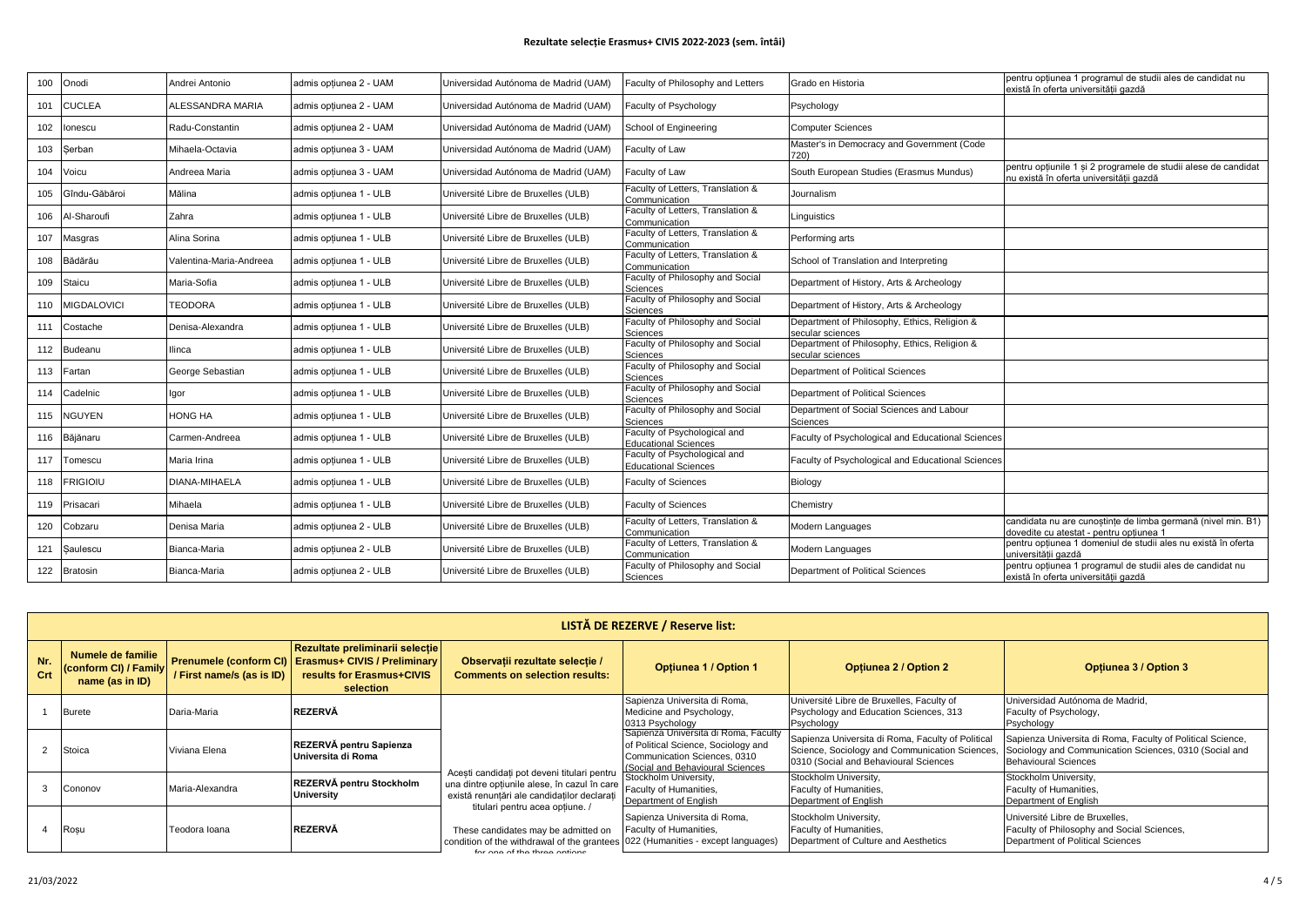| 100 | Onodi              | Andrei Antonio          | admis optiunea 2 - UAM | Universidad Autónoma de Madrid (UAM) | Faculty of Philosophy and Letters                           | Grado en Historia                                                | pentru opțiunea 1 programul de studii ales de candidat nu<br>există în oferta universității gazdă         |
|-----|--------------------|-------------------------|------------------------|--------------------------------------|-------------------------------------------------------------|------------------------------------------------------------------|-----------------------------------------------------------------------------------------------------------|
| 101 | <b>CUCLEA</b>      | ALESSANDRA MARIA        | admis optiunea 2 - UAM | Universidad Autónoma de Madrid (UAM) | Faculty of Psychology                                       | Psychology                                                       |                                                                                                           |
| 102 | onescu             | Radu-Constantin         | admis optiunea 2 - UAM | Universidad Autónoma de Madrid (UAM) | School of Engineering                                       | <b>Computer Sciences</b>                                         |                                                                                                           |
| 103 | Serban             | Mihaela-Octavia         | admis optiunea 3 - UAM | Universidad Autónoma de Madrid (UAM) | Faculty of Law                                              | Master's in Democracy and Government (Code<br>720)               |                                                                                                           |
| 104 | Voicu              | Andreea Maria           | admis optiunea 3 - UAM | Universidad Autónoma de Madrid (UAM) | Faculty of Law                                              | South European Studies (Erasmus Mundus)                          | pentru optiunile 1 si 2 programele de studii alese de candidat<br>nu există în oferta universitătii gazdă |
| 105 | Gîndu-Găbăroi      | Mălina                  | admis optiunea 1 - ULB | Université Libre de Bruxelles (ULB)  | Faculty of Letters, Translation &<br>Communication          | Journalism                                                       |                                                                                                           |
| 106 | Al-Sharoufi        | Zahra                   | admis optiunea 1 - ULB | Université Libre de Bruxelles (ULB)  | Faculty of Letters, Translation &<br>Communication          | Linguistics                                                      |                                                                                                           |
| 107 | Masgras            | Alina Sorina            | admis optiunea 1 - ULB | Université Libre de Bruxelles (ULB)  | Faculty of Letters, Translation &<br>Communication          | Performing arts                                                  |                                                                                                           |
| 108 | Bădărău            | Valentina-Maria-Andreea | admis optiunea 1 - ULB | Université Libre de Bruxelles (ULB)  | Faculty of Letters, Translation &<br>Communication          | School of Translation and Interpreting                           |                                                                                                           |
| 109 | Staicu             | Maria-Sofia             | admis optiunea 1 - ULB | Université Libre de Bruxelles (ULB)  | Faculty of Philosophy and Social<br>Sciences                | Department of History, Arts & Archeology                         |                                                                                                           |
| 110 | <b>MIGDALOVICI</b> | <b>TEODORA</b>          | admis optiunea 1 - ULB | Université Libre de Bruxelles (ULB)  | Faculty of Philosophy and Social<br>Sciences                | Department of History, Arts & Archeology                         |                                                                                                           |
| 111 | Costache           | Denisa-Alexandra        | admis optiunea 1 - ULB | Université Libre de Bruxelles (ULB)  | Faculty of Philosophy and Social<br>Sciences                | Department of Philosophy, Ethics, Religion &<br>secular sciences |                                                                                                           |
| 112 | Budeanu            | llinca                  | admis optiunea 1 - ULB | Université Libre de Bruxelles (ULB)  | Faculty of Philosophy and Social<br>Sciences                | Department of Philosophy, Ethics, Religion &<br>secular sciences |                                                                                                           |
| 113 | Fartan             | George Sebastian        | admis optiunea 1 - ULB | Université Libre de Bruxelles (ULB)  | Faculty of Philosophy and Social<br>Sciences                | Department of Political Sciences                                 |                                                                                                           |
| 114 | Cadelnic           | lgor                    | admis optiunea 1 - ULB | Université Libre de Bruxelles (ULB)  | Faculty of Philosophy and Social<br>Sciences                | Department of Political Sciences                                 |                                                                                                           |
| 115 | NGUYEN             | HONG HA                 | admis optiunea 1 - ULB | Université Libre de Bruxelles (ULB)  | Faculty of Philosophy and Social<br>Sciences                | Department of Social Sciences and Labour<br>Sciences             |                                                                                                           |
| 116 | Băjănaru           | Carmen-Andreea          | admis optiunea 1 - ULB | Université Libre de Bruxelles (ULB)  | Faculty of Psychological and<br><b>Educational Sciences</b> | Faculty of Psychological and Educational Sciences                |                                                                                                           |
| 117 | Tomescu            | Maria Irina             | admis optiunea 1 - ULB | Université Libre de Bruxelles (ULB)  | Faculty of Psychological and<br><b>Educational Sciences</b> | Faculty of Psychological and Educational Sciences                |                                                                                                           |
| 118 | <b>FRIGIOIU</b>    | DIANA-MIHAELA           | admis optiunea 1 - ULB | Université Libre de Bruxelles (ULB)  | <b>Faculty of Sciences</b>                                  | Biology                                                          |                                                                                                           |
| 119 | Prisacari          | Mihaela                 | admis optiunea 1 - ULB | Université Libre de Bruxelles (ULB)  | <b>Faculty of Sciences</b>                                  | Chemistry                                                        |                                                                                                           |
| 120 | Cobzaru            | Denisa Maria            | admis optiunea 2 - ULB | Université Libre de Bruxelles (ULB)  | Faculty of Letters, Translation &<br>Communication          | Modern Languages                                                 | candidata nu are cunostinte de limba germană (nivel min. B1)<br>dovedite cu atestat - pentru optiunea 1   |
| 121 | Saulescu           | Bianca-Maria            | admis optiunea 2 - ULB | Université Libre de Bruxelles (ULB)  | Faculty of Letters, Translation &<br>Communication          | Modern Languages                                                 | pentru opțiunea 1 domeniul de studii ales nu există în oferta<br>universitătii gazdă                      |
| 122 | <b>Bratosin</b>    | Bianca-Maria            | admis optiunea 2 - ULB | Université Libre de Bruxelles (ULB)  | Faculty of Philosophy and Social<br>Sciences                | Department of Political Sciences                                 | pentru optiunea 1 programul de studii ales de candidat nu<br>există în oferta universității gazdă         |

|            | LISTĂ DE REZERVE / Reserve list:                              |                           |                                                                                                                                    |                                                                                                                                                                                                                                                                                                                           |                                                                                                                                             |                                                                                                                                                     |                                                                                                                  |                                 |  |  |  |  |  |  |  |                                                                          |
|------------|---------------------------------------------------------------|---------------------------|------------------------------------------------------------------------------------------------------------------------------------|---------------------------------------------------------------------------------------------------------------------------------------------------------------------------------------------------------------------------------------------------------------------------------------------------------------------------|---------------------------------------------------------------------------------------------------------------------------------------------|-----------------------------------------------------------------------------------------------------------------------------------------------------|------------------------------------------------------------------------------------------------------------------|---------------------------------|--|--|--|--|--|--|--|--------------------------------------------------------------------------|
| Nr.<br>Crt | Numele de familie<br>(conform CI) / Family<br>name (as in ID) | / First name/s (as is ID) | Rezultate preliminarii selectie<br>Prenumele (conform CI)   Erasmus+ CIVIS / Preliminary<br>results for Erasmus+CIVIS<br>selection | Observații rezultate selecție /<br><b>Comments on selection results:</b>                                                                                                                                                                                                                                                  | <b>Optiunea 1 / Option 1</b>                                                                                                                | <b>Optiunea 2 / Option 2</b>                                                                                                                        | <b>Optiunea 3 / Option 3</b>                                                                                     |                                 |  |  |  |  |  |  |  |                                                                          |
|            | <b>Burete</b>                                                 | Daria-Maria               | <b>REZERVÅ</b>                                                                                                                     |                                                                                                                                                                                                                                                                                                                           | Sapienza Universita di Roma,<br>Medicine and Psychology,<br>0313 Psychology                                                                 | Université Libre de Bruxelles, Faculty of<br>Psychology and Education Sciences, 313<br>Psychology                                                   | Universidad Autónoma de Madrid.<br>Faculty of Psychology,<br>Psychology                                          |                                 |  |  |  |  |  |  |  |                                                                          |
|            | Stoica                                                        | Viviana Elena             | REZERVĂ pentru Sapienza<br>Universita di Roma                                                                                      | Sapienza Universita di Roma, Faculty<br>of Political Science, Sociology and<br>Communication Sciences, 0310<br>(Social and Behavioural Sciences<br>Acesti candidati pot deveni titulari pentru<br>Stockholm University,<br>Faculty of Humanities,<br>există renuntări ale candidatilor declarati<br>Department of English | Sapienza Universita di Roma, Faculty of Political<br>Science, Sociology and Communication Sciences<br>0310 (Social and Behavioural Sciences | Sapienza Universita di Roma, Faculty of Political Science,<br>Sociology and Communication Sciences, 0310 (Social and<br><b>Behavioural Sciences</b> |                                                                                                                  |                                 |  |  |  |  |  |  |  |                                                                          |
|            | Cononov                                                       | Maria-Alexandra           | REZERVĂ pentru Stockholm<br>University                                                                                             |                                                                                                                                                                                                                                                                                                                           | una dintre optiunile alese, în cazul în care                                                                                                |                                                                                                                                                     |                                                                                                                  | titulari pentru acea optiune. / |  |  |  |  |  |  |  | Stockholm University,<br>Faculty of Humanities,<br>Department of English |
|            | Rosu                                                          | Teodora Ioana             | <b>REZERVÅ</b>                                                                                                                     | These candidates may be admitted on<br>condition of the withdrawal of the grantees 022 (Humanities - except languages)<br>for ano of the three options                                                                                                                                                                    | Sapienza Universita di Roma,<br>Faculty of Humanities.                                                                                      | Stockholm University,<br>Faculty of Humanities,<br>Department of Culture and Aesthetics                                                             | Université Libre de Bruxelles.<br>Faculty of Philosophy and Social Sciences,<br>Department of Political Sciences |                                 |  |  |  |  |  |  |  |                                                                          |